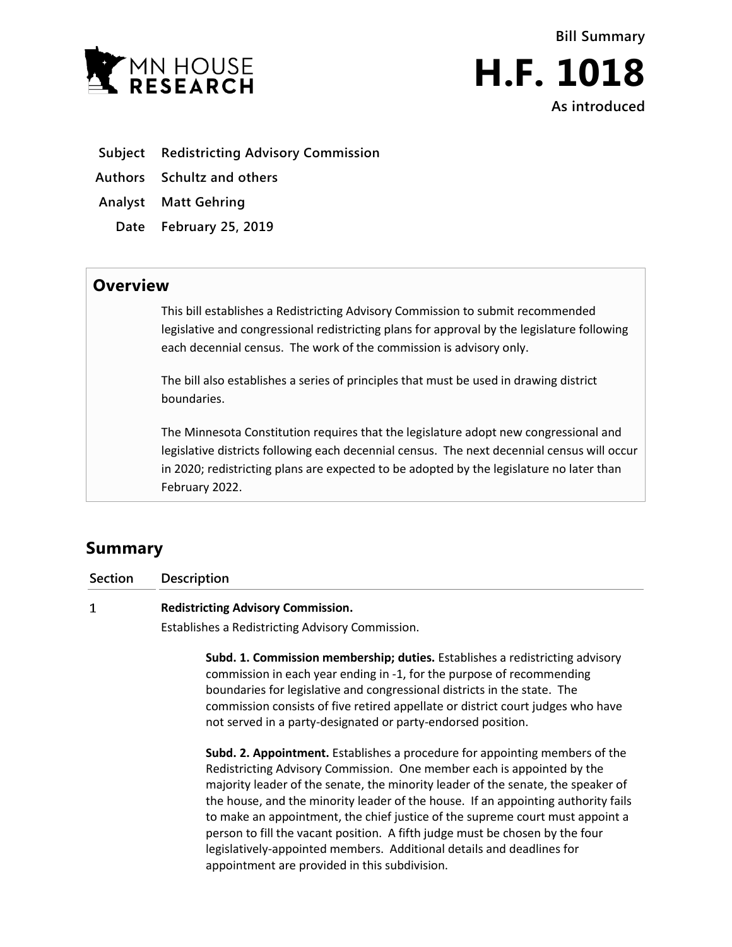



- **Subject Redistricting Advisory Commission**
- **Authors Schultz and others**
- **Analyst Matt Gehring**
	- **Date February 25, 2019**

## **Overview**

This bill establishes a Redistricting Advisory Commission to submit recommended legislative and congressional redistricting plans for approval by the legislature following each decennial census. The work of the commission is advisory only.

The bill also establishes a series of principles that must be used in drawing district boundaries.

The Minnesota Constitution requires that the legislature adopt new congressional and legislative districts following each decennial census. The next decennial census will occur in 2020; redistricting plans are expected to be adopted by the legislature no later than February 2022.

# **Summary**

**Section Description**

#### $\mathbf{1}$ **Redistricting Advisory Commission.**

Establishes a Redistricting Advisory Commission.

**Subd. 1. Commission membership; duties.** Establishes a redistricting advisory commission in each year ending in -1, for the purpose of recommending boundaries for legislative and congressional districts in the state. The commission consists of five retired appellate or district court judges who have not served in a party-designated or party-endorsed position.

**Subd. 2. Appointment.** Establishes a procedure for appointing members of the Redistricting Advisory Commission. One member each is appointed by the majority leader of the senate, the minority leader of the senate, the speaker of the house, and the minority leader of the house. If an appointing authority fails to make an appointment, the chief justice of the supreme court must appoint a person to fill the vacant position. A fifth judge must be chosen by the four legislatively-appointed members. Additional details and deadlines for appointment are provided in this subdivision.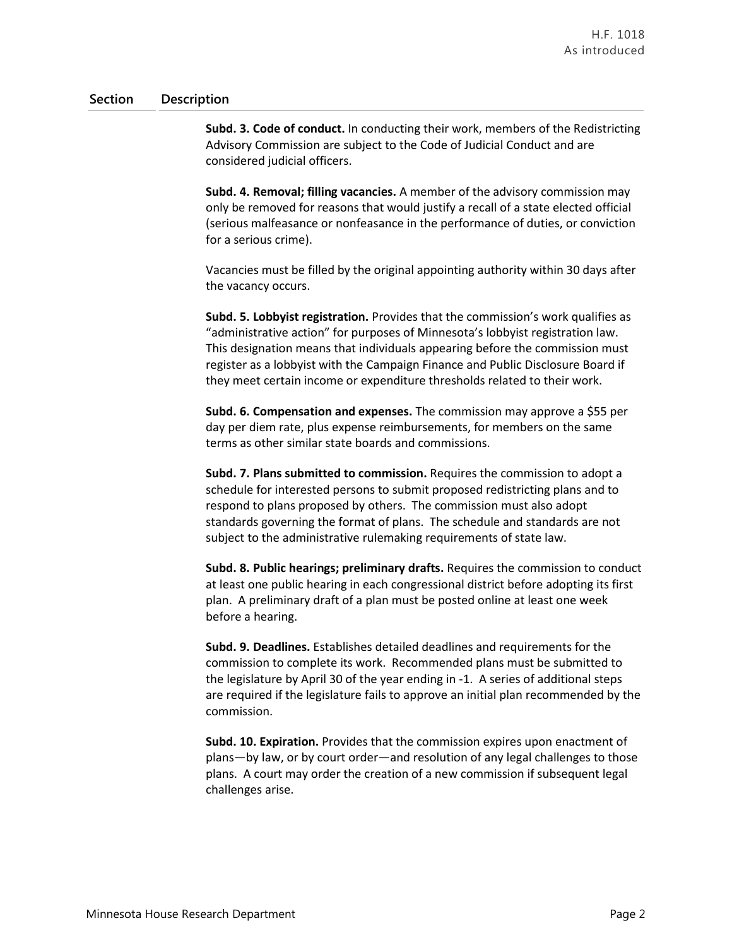### **Section Description**

**Subd. 3. Code of conduct.** In conducting their work, members of the Redistricting Advisory Commission are subject to the Code of Judicial Conduct and are considered judicial officers.

**Subd. 4. Removal; filling vacancies.** A member of the advisory commission may only be removed for reasons that would justify a recall of a state elected official (serious malfeasance or nonfeasance in the performance of duties, or conviction for a serious crime).

Vacancies must be filled by the original appointing authority within 30 days after the vacancy occurs.

**Subd. 5. Lobbyist registration.** Provides that the commission's work qualifies as "administrative action" for purposes of Minnesota's lobbyist registration law. This designation means that individuals appearing before the commission must register as a lobbyist with the Campaign Finance and Public Disclosure Board if they meet certain income or expenditure thresholds related to their work.

**Subd. 6. Compensation and expenses.** The commission may approve a \$55 per day per diem rate, plus expense reimbursements, for members on the same terms as other similar state boards and commissions.

**Subd. 7. Plans submitted to commission.** Requires the commission to adopt a schedule for interested persons to submit proposed redistricting plans and to respond to plans proposed by others. The commission must also adopt standards governing the format of plans. The schedule and standards are not subject to the administrative rulemaking requirements of state law.

**Subd. 8. Public hearings; preliminary drafts.** Requires the commission to conduct at least one public hearing in each congressional district before adopting its first plan. A preliminary draft of a plan must be posted online at least one week before a hearing.

**Subd. 9. Deadlines.** Establishes detailed deadlines and requirements for the commission to complete its work. Recommended plans must be submitted to the legislature by April 30 of the year ending in -1. A series of additional steps are required if the legislature fails to approve an initial plan recommended by the commission.

**Subd. 10. Expiration.** Provides that the commission expires upon enactment of plans—by law, or by court order—and resolution of any legal challenges to those plans. A court may order the creation of a new commission if subsequent legal challenges arise.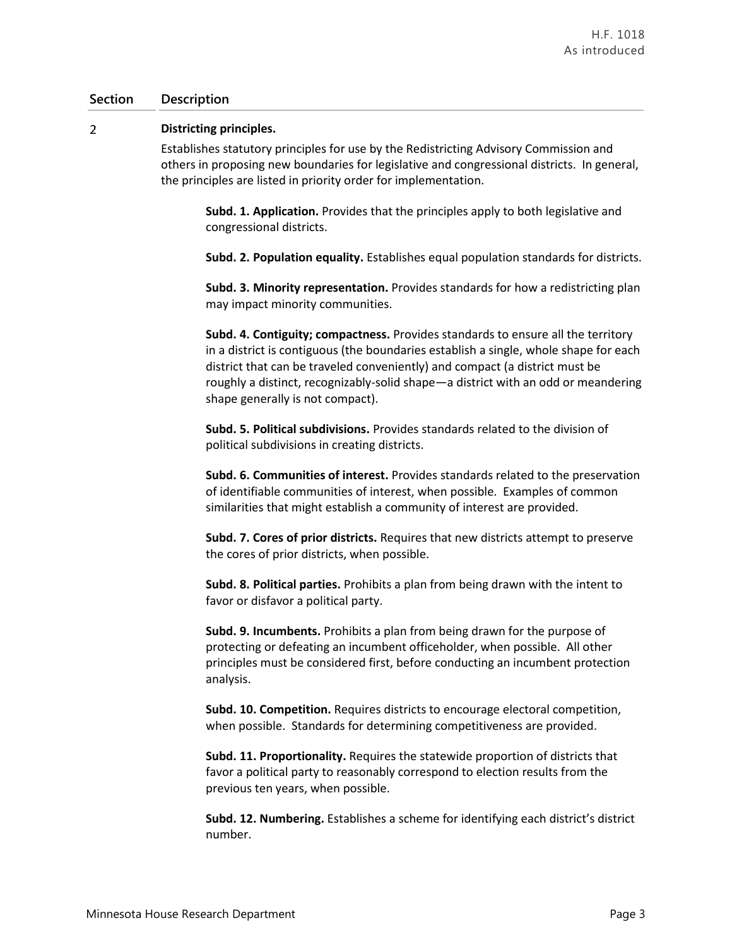### **Section Description**

#### $\overline{2}$ **Districting principles.**

Establishes statutory principles for use by the Redistricting Advisory Commission and others in proposing new boundaries for legislative and congressional districts. In general, the principles are listed in priority order for implementation.

**Subd. 1. Application.** Provides that the principles apply to both legislative and congressional districts.

**Subd. 2. Population equality.** Establishes equal population standards for districts.

**Subd. 3. Minority representation.** Provides standards for how a redistricting plan may impact minority communities.

**Subd. 4. Contiguity; compactness.** Provides standards to ensure all the territory in a district is contiguous (the boundaries establish a single, whole shape for each district that can be traveled conveniently) and compact (a district must be roughly a distinct, recognizably-solid shape—a district with an odd or meandering shape generally is not compact).

**Subd. 5. Political subdivisions.** Provides standards related to the division of political subdivisions in creating districts.

**Subd. 6. Communities of interest.** Provides standards related to the preservation of identifiable communities of interest, when possible. Examples of common similarities that might establish a community of interest are provided.

**Subd. 7. Cores of prior districts.** Requires that new districts attempt to preserve the cores of prior districts, when possible.

**Subd. 8. Political parties.** Prohibits a plan from being drawn with the intent to favor or disfavor a political party.

**Subd. 9. Incumbents.** Prohibits a plan from being drawn for the purpose of protecting or defeating an incumbent officeholder, when possible. All other principles must be considered first, before conducting an incumbent protection analysis.

**Subd. 10. Competition.** Requires districts to encourage electoral competition, when possible. Standards for determining competitiveness are provided.

**Subd. 11. Proportionality.** Requires the statewide proportion of districts that favor a political party to reasonably correspond to election results from the previous ten years, when possible.

**Subd. 12. Numbering.** Establishes a scheme for identifying each district's district number.